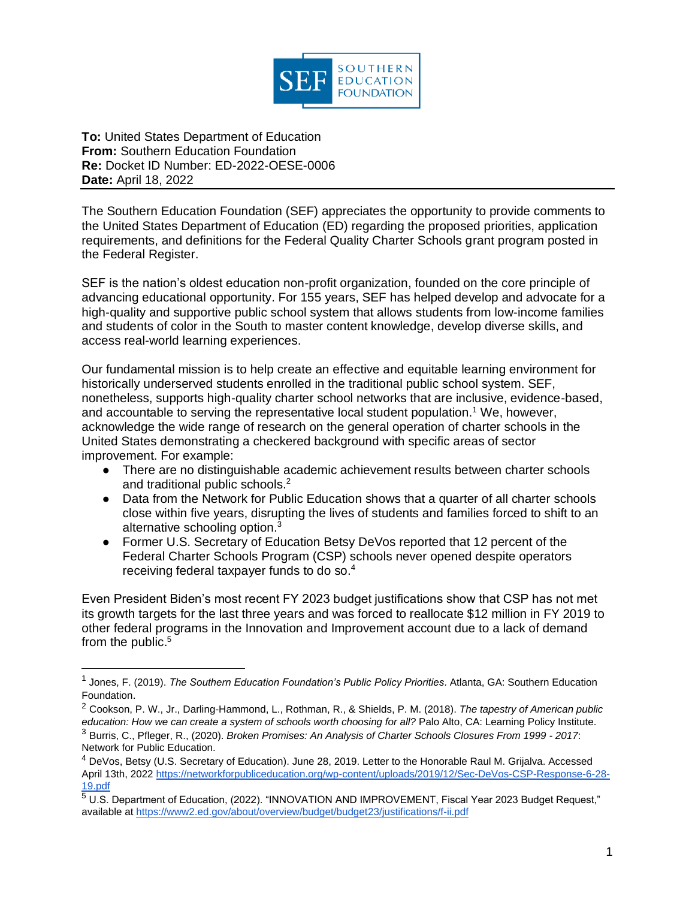

**To:** United States Department of Education **From:** Southern Education Foundation **Re:** Docket ID Number: ED-2022-OESE-0006 **Date:** April 18, 2022

The Southern Education Foundation (SEF) appreciates the opportunity to provide comments to the United States Department of Education (ED) regarding the proposed priorities, application requirements, and definitions for the Federal Quality Charter Schools grant program posted in the Federal Register.

SEF is the nation's oldest education non-profit organization, founded on the core principle of advancing educational opportunity. For 155 years, SEF has helped develop and advocate for a high-quality and supportive public school system that allows students from low-income families and students of color in the South to master content knowledge, develop diverse skills, and access real-world learning experiences.

Our fundamental mission is to help create an effective and equitable learning environment for historically underserved students enrolled in the traditional public school system. SEF, nonetheless, supports high-quality charter school networks that are inclusive, evidence-based, and accountable to serving the representative local student population.<sup>1</sup> We, however, acknowledge the wide range of research on the general operation of charter schools in the United States demonstrating a checkered background with specific areas of sector improvement. For example:

- There are no distinguishable academic achievement results between charter schools and traditional public schools.<sup>2</sup>
- Data from the Network for Public Education shows that a quarter of all charter schools close within five years, disrupting the lives of students and families forced to shift to an alternative schooling option. $3$
- Former U.S. Secretary of Education Betsy DeVos reported that 12 percent of the Federal Charter Schools Program (CSP) schools never opened despite operators receiving federal taxpayer funds to do so.<sup>4</sup>

Even President Biden's most recent FY 2023 budget justifications show that CSP has not met its growth targets for the last three years and was forced to reallocate \$12 million in FY 2019 to other federal programs in the Innovation and Improvement account due to a lack of demand from the public.<sup>5</sup>

<sup>1</sup> Jones, F. (2019). *The Southern Education Foundation's Public Policy Priorities*. Atlanta, GA: Southern Education Foundation.

<sup>2</sup> Cookson, P. W., Jr., Darling-Hammond, L., Rothman, R., & Shields, P. M. (2018). *The tapestry of American public education: How we can create a system of schools worth choosing for all?* Palo Alto, CA: Learning Policy Institute. <sup>3</sup> Burris, C., Pfleger, R., (2020). *Broken Promises: An Analysis of Charter Schools Closures From 1999 - 2017*: Network for Public Education.

<sup>4</sup> DeVos, Betsy (U.S. Secretary of Education). June 28, 2019. Letter to the Honorable Raul M. Grijalva. Accessed April 13th, 202[2 https://networkforpubliceducation.org/wp-content/uploads/2019/12/Sec-DeVos-CSP-Response-6-28-](https://networkforpubliceducation.org/wp-content/uploads/2019/12/Sec-DeVos-CSP-Response-6-28-19.pdf) [19.pdf](https://networkforpubliceducation.org/wp-content/uploads/2019/12/Sec-DeVos-CSP-Response-6-28-19.pdf)

<sup>5</sup> U.S. Department of Education, (2022). "INNOVATION AND IMPROVEMENT, Fiscal Year 2023 Budget Request," available at<https://www2.ed.gov/about/overview/budget/budget23/justifications/f-ii.pdf>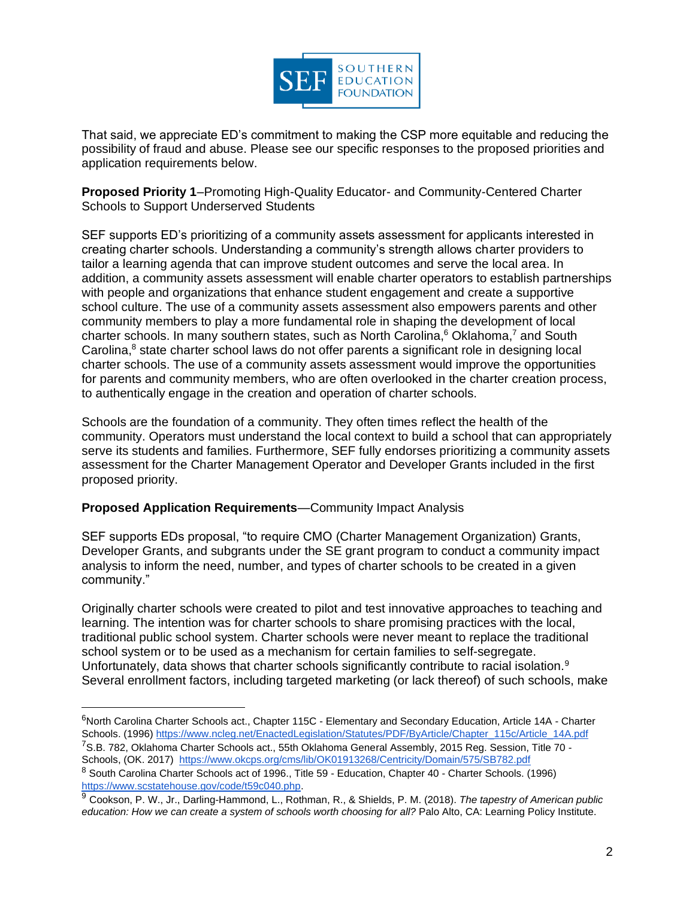

That said, we appreciate ED's commitment to making the CSP more equitable and reducing the possibility of fraud and abuse. Please see our specific responses to the proposed priorities and application requirements below.

**Proposed Priority 1**–Promoting High-Quality Educator- and Community-Centered Charter Schools to Support Underserved Students

SEF supports ED's prioritizing of a community assets assessment for applicants interested in creating charter schools. Understanding a community's strength allows charter providers to tailor a learning agenda that can improve student outcomes and serve the local area. In addition, a community assets assessment will enable charter operators to establish partnerships with people and organizations that enhance student engagement and create a supportive school culture. The use of a community assets assessment also empowers parents and other community members to play a more fundamental role in shaping the development of local charter schools. In many southern states, such as North Carolina, $6$  Oklahoma, $7$  and South Carolina,<sup>8</sup> state charter school laws do not offer parents a significant role in designing local charter schools. The use of a community assets assessment would improve the opportunities for parents and community members, who are often overlooked in the charter creation process, to authentically engage in the creation and operation of charter schools.

Schools are the foundation of a community. They often times reflect the health of the community. Operators must understand the local context to build a school that can appropriately serve its students and families. Furthermore, SEF fully endorses prioritizing a community assets assessment for the Charter Management Operator and Developer Grants included in the first proposed priority.

## **Proposed Application Requirements**—Community Impact Analysis

SEF supports EDs proposal, "to require CMO (Charter Management Organization) Grants, Developer Grants, and subgrants under the SE grant program to conduct a community impact analysis to inform the need, number, and types of charter schools to be created in a given community."

Originally charter schools were created to pilot and test innovative approaches to teaching and learning. The intention was for charter schools to share promising practices with the local, traditional public school system. Charter schools were never meant to replace the traditional school system or to be used as a mechanism for certain families to self-segregate. Unfortunately, data shows that charter schools significantly contribute to racial isolation.<sup>9</sup> Several enrollment factors, including targeted marketing (or lack thereof) of such schools, make

<sup>6</sup>North Carolina Charter Schools act., Chapter 115C - Elementary and Secondary Education, Article 14A - Charter Schools. (1996[\) https://www.ncleg.net/EnactedLegislation/Statutes/PDF/ByArticle/Chapter\\_115c/Article\\_14A.pdf](https://www.ncleg.net/EnactedLegislation/Statutes/PDF/ByArticle/Chapter_115c/Article_14A.pdf) <sup>7</sup>S.B. 782, Oklahoma Charter Schools act., 55th Oklahoma General Assembly, 2015 Reg. Session, Title 70 -Schools, (OK. 2017) <https://www.okcps.org/cms/lib/OK01913268/Centricity/Domain/575/SB782.pdf>

<sup>8</sup> South Carolina Charter Schools act of 1996., Title 59 - Education, Chapter 40 - Charter Schools. (1996) [https://www.scstatehouse.gov/code/t59c040.php.](https://www.scstatehouse.gov/code/t59c040.php)

<sup>9</sup> Cookson, P. W., Jr., Darling-Hammond, L., Rothman, R., & Shields, P. M. (2018). *The tapestry of American public education: How we can create a system of schools worth choosing for all?* Palo Alto, CA: Learning Policy Institute.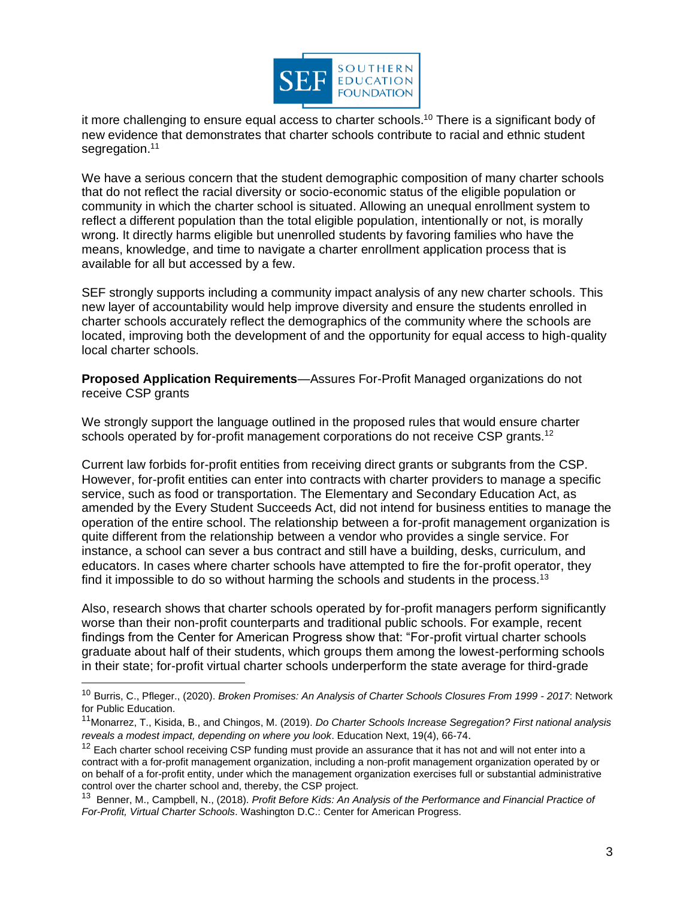

it more challenging to ensure equal access to charter schools.<sup>10</sup> There is a significant body of new evidence that demonstrates that charter schools contribute to racial and ethnic student segregation.<sup>11</sup>

We have a serious concern that the student demographic composition of many charter schools that do not reflect the racial diversity or socio-economic status of the eligible population or community in which the charter school is situated. Allowing an unequal enrollment system to reflect a different population than the total eligible population, intentionally or not, is morally wrong. It directly harms eligible but unenrolled students by favoring families who have the means, knowledge, and time to navigate a charter enrollment application process that is available for all but accessed by a few.

SEF strongly supports including a community impact analysis of any new charter schools. This new layer of accountability would help improve diversity and ensure the students enrolled in charter schools accurately reflect the demographics of the community where the schools are located, improving both the development of and the opportunity for equal access to high-quality local charter schools.

**Proposed Application Requirements**—Assures For-Profit Managed organizations do not receive CSP grants

We strongly support the language outlined in the proposed rules that would ensure charter schools operated by for-profit management corporations do not receive CSP grants.<sup>12</sup>

Current law forbids for-profit entities from receiving direct grants or subgrants from the CSP. However, for-profit entities can enter into contracts with charter providers to manage a specific service, such as food or transportation. The Elementary and Secondary Education Act, as amended by the Every Student Succeeds Act, did not intend for business entities to manage the operation of the entire school. The relationship between a for-profit management organization is quite different from the relationship between a vendor who provides a single service. For instance, a school can sever a bus contract and still have a building, desks, curriculum, and educators. In cases where charter schools have attempted to fire the for-profit operator, they find it impossible to do so without harming the schools and students in the process.<sup>13</sup>

Also, research shows that charter schools operated by for-profit managers perform significantly worse than their non-profit counterparts and traditional public schools. For example, recent findings from the Center for American Progress show that: "For-profit virtual charter schools graduate about half of their students, which groups them among the lowest-performing schools in their state; for-profit virtual charter schools underperform the state average for third-grade

<sup>10</sup> Burris, C., Pfleger., (2020). *Broken Promises: An Analysis of Charter Schools Closures From 1999 - 2017*: Network for Public Education.

<sup>11</sup>Monarrez, T., Kisida, B., and Chingos, M. (2019). *Do Charter Schools Increase Segregation? First national analysis reveals a modest impact, depending on where you look*. Education Next, 19(4), 66-74.

<sup>&</sup>lt;sup>12</sup> Each charter school receiving CSP funding must provide an assurance that it has not and will not enter into a contract with a for-profit management organization, including a non-profit management organization operated by or on behalf of a for-profit entity, under which the management organization exercises full or substantial administrative control over the charter school and, thereby, the CSP project.

<sup>&</sup>lt;sup>13</sup> Benner, M., Campbell, N., (2018). *Profit Before Kids: An Analysis of the Performance and Financial Practice of For-Profit, Virtual Charter Schools*. Washington D.C.: Center for American Progress.